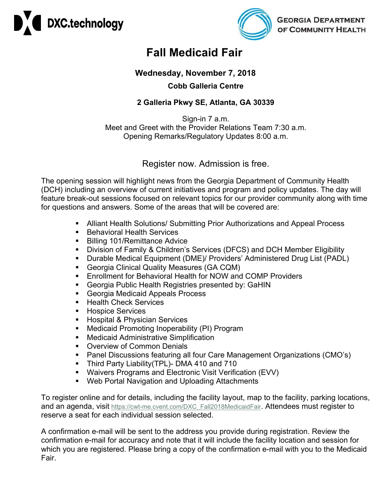



## **Fall Medicaid Fair**

## **Wednesday, November 7, 2018 Cobb Galleria Centre**

## **2 Galleria Pkwy SE, Atlanta, GA 30339**

Sign-in 7 a.m. Meet and Greet with the Provider Relations Team 7:30 a.m. Opening Remarks/Regulatory Updates 8:00 a.m.

## Register now. Admission is free.

The opening session will highlight news from the Georgia Department of Community Health (DCH) including an overview of current initiatives and program and policy updates. The day will feature break-out sessions focused on relevant topics for our provider community along with time for questions and answers. Some of the areas that will be covered are:

- Alliant Health Solutions/ Submitting Prior Authorizations and Appeal Process
- **Behavioral Health Services**
- **Billing 101/Remittance Advice**
- **Division of Family & Children's Services (DFCS) and DCH Member Eligibility**
- Durable Medical Equipment (DME)/ Providers' Administered Drug List (PADL)
- Georgia Clinical Quality Measures (GA CQM)
- Enrollment for Behavioral Health for NOW and COMP Providers
- Georgia Public Health Registries presented by: GaHIN
- Georgia Medicaid Appeals Process
- Health Check Services
- **Hospice Services**
- **Hospital & Physician Services**
- **Medicaid Promoting Inoperability (PI) Program**
- Medicaid Administrative Simplification
- **Overview of Common Denials**
- Panel Discussions featuring all four Care Management Organizations (CMO's)
- **Third Party Liability(TPL)- DMA 410 and 710**
- Waivers Programs and Electronic Visit Verification (EVV)
- Web Portal Navigation and Uploading Attachments

To register online and for details, including the facility layout, map to the facility, parking locations, and an agenda, visit [https://cwt-me.cvent.com/DXC\\_Fall2018MedicaidFair.](https://cwt-me.cvent.com/DXC_Fall2018MedicaidFair) Attendees must register to reserve a seat for each individual session selected.

A confirmation e-mail will be sent to the address you provide during registration. Review the confirmation e-mail for accuracy and note that it will include the facility location and session for which you are registered. Please bring a copy of the confirmation e-mail with you to the Medicaid Fair.